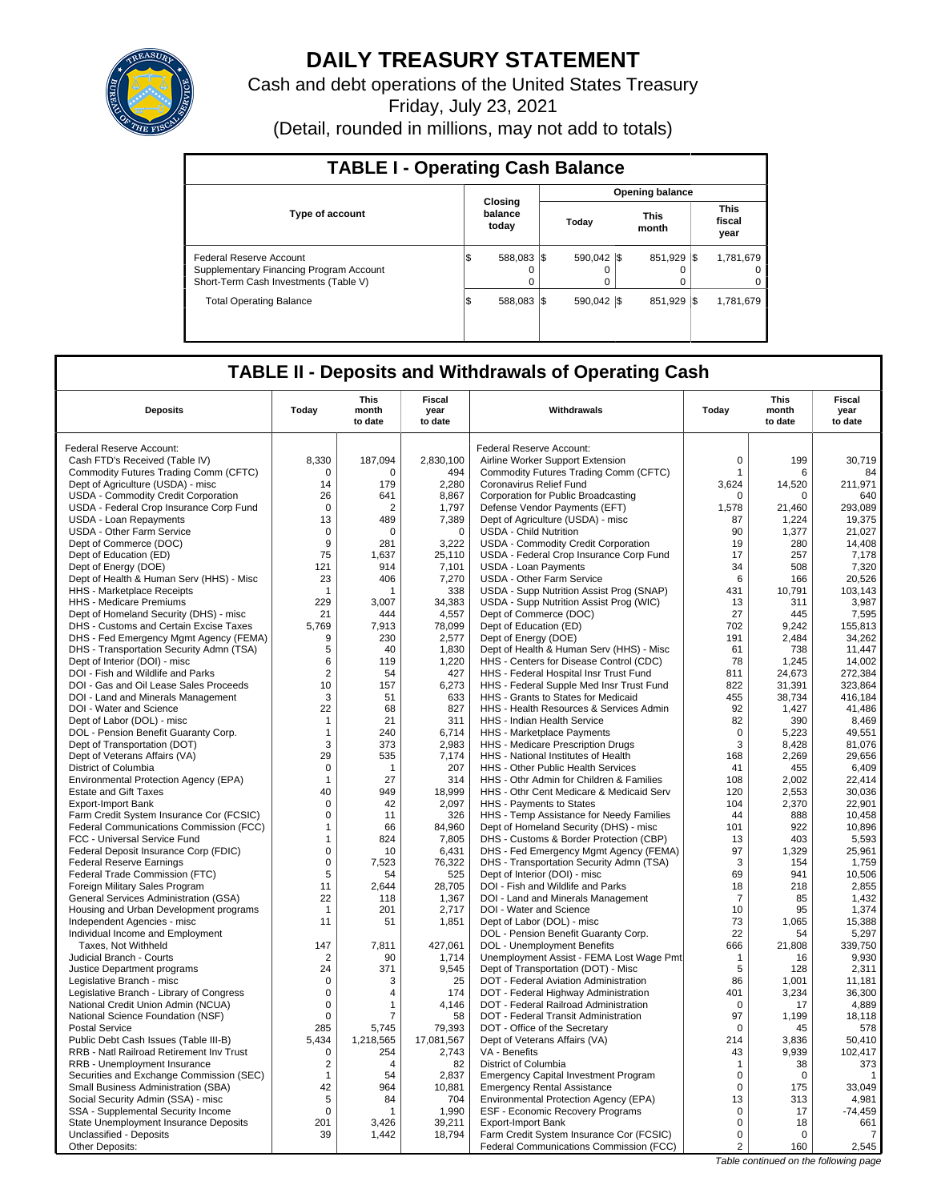

# **DAILY TREASURY STATEMENT**

Cash and debt operations of the United States Treasury

Friday, July 23, 2021

(Detail, rounded in millions, may not add to totals)

| <b>TABLE I - Operating Cash Balance</b>                                                                     |                                    |  |                        |             |                               |        |  |  |  |  |
|-------------------------------------------------------------------------------------------------------------|------------------------------------|--|------------------------|-------------|-------------------------------|--------|--|--|--|--|
|                                                                                                             |                                    |  | <b>Opening balance</b> |             |                               |        |  |  |  |  |
| <b>Type of account</b>                                                                                      | Closing<br>balance<br>today        |  | This<br>Today<br>month |             | <b>This</b><br>fiscal<br>year |        |  |  |  |  |
| Federal Reserve Account<br>Supplementary Financing Program Account<br>Short-Term Cash Investments (Table V) | 588.083 \\$<br>IS<br>0<br>$\Omega$ |  | 590.042 \\$<br>0       | 851.929 \\$ | 1,781,679                     | 0<br>0 |  |  |  |  |
| <b>Total Operating Balance</b>                                                                              | 588.083 \\$<br>I\$                 |  | 590.042 \\$            | 851.929 \\$ | 1.781.679                     |        |  |  |  |  |

# **TABLE II - Deposits and Withdrawals of Operating Cash**

| <b>Deposits</b>                                         | Today                | This<br>month<br>to date | Fiscal<br>year<br>to date | Withdrawals                                                                    | Today          | <b>This</b><br>month<br>to date | <b>Fiscal</b><br>year<br>to date |
|---------------------------------------------------------|----------------------|--------------------------|---------------------------|--------------------------------------------------------------------------------|----------------|---------------------------------|----------------------------------|
|                                                         |                      |                          |                           |                                                                                |                |                                 |                                  |
| Federal Reserve Account:                                |                      |                          |                           | Federal Reserve Account:                                                       |                |                                 |                                  |
| Cash FTD's Received (Table IV)                          | 8,330                | 187,094                  | 2,830,100                 | Airline Worker Support Extension                                               | $\mathbf 0$    | 199                             | 30,719                           |
| Commodity Futures Trading Comm (CFTC)                   | $\mathbf 0$          | $\Omega$                 | 494                       | Commodity Futures Trading Comm (CFTC)                                          | $\mathbf{1}$   | 6                               | 84                               |
| Dept of Agriculture (USDA) - misc                       | 14                   | 179                      | 2,280                     | Coronavirus Relief Fund                                                        | 3,624          | 14,520                          | 211,971                          |
| USDA - Commodity Credit Corporation                     | 26                   | 641                      | 8,867                     | Corporation for Public Broadcasting                                            | 0              | $\Omega$                        | 640                              |
| USDA - Federal Crop Insurance Corp Fund                 | $\Omega$             | 2                        | 1,797                     | Defense Vendor Payments (EFT)                                                  | 1,578          | 21.460                          | 293.089                          |
| USDA - Loan Repayments                                  | 13                   | 489                      | 7,389                     | Dept of Agriculture (USDA) - misc                                              | 87             | 1,224                           | 19,375                           |
| <b>USDA - Other Farm Service</b>                        | $\mathbf 0$          | $\Omega$                 | $\mathbf 0$               | <b>USDA - Child Nutrition</b>                                                  | 90             | 1,377                           | 21,027                           |
| Dept of Commerce (DOC)<br>Dept of Education (ED)        | 9<br>75              | 281<br>1,637             | 3,222<br>25,110           | USDA - Commodity Credit Corporation<br>USDA - Federal Crop Insurance Corp Fund | 19<br>17       | 280<br>257                      | 14.408<br>7,178                  |
| Dept of Energy (DOE)                                    | 121                  | 914                      | 7,101                     | <b>USDA - Loan Payments</b>                                                    | 34             | 508                             | 7,320                            |
| Dept of Health & Human Serv (HHS) - Misc                | 23                   | 406                      | 7,270                     | <b>USDA - Other Farm Service</b>                                               | 6              | 166                             | 20,526                           |
| HHS - Marketplace Receipts                              | -1                   | 1                        | 338                       | USDA - Supp Nutrition Assist Prog (SNAP)                                       | 431            | 10,791                          | 103,143                          |
| <b>HHS</b> - Medicare Premiums                          | 229                  | 3.007                    | 34.383                    | USDA - Supp Nutrition Assist Prog (WIC)                                        | 13             | 311                             | 3.987                            |
| Dept of Homeland Security (DHS) - misc                  | 21                   | 444                      | 4,557                     | Dept of Commerce (DOC)                                                         | 27             | 445                             | 7,595                            |
| DHS - Customs and Certain Excise Taxes                  | 5.769                | 7,913                    | 78,099                    | Dept of Education (ED)                                                         | 702            | 9.242                           | 155.813                          |
| DHS - Fed Emergency Mgmt Agency (FEMA)                  | 9                    | 230                      | 2,577                     | Dept of Energy (DOE)                                                           | 191            | 2,484                           | 34,262                           |
| DHS - Transportation Security Admn (TSA)                | 5                    | 40                       | 1,830                     | Dept of Health & Human Serv (HHS) - Misc                                       | 61             | 738                             | 11.447                           |
| Dept of Interior (DOI) - misc                           | 6                    | 119                      | 1,220                     | HHS - Centers for Disease Control (CDC)                                        | 78             | 1,245                           | 14,002                           |
| DOI - Fish and Wildlife and Parks                       | $\overline{2}$       | 54                       | 427                       | HHS - Federal Hospital Insr Trust Fund                                         | 811            | 24,673                          | 272,384                          |
| DOI - Gas and Oil Lease Sales Proceeds                  | 10                   | 157                      | 6.273                     | HHS - Federal Supple Med Insr Trust Fund                                       | 822            | 31.391                          | 323.864                          |
| DOI - Land and Minerals Management                      | 3                    | 51                       | 633                       | HHS - Grants to States for Medicaid                                            | 455            | 38,734                          | 416,184                          |
| DOI - Water and Science                                 | 22                   | 68                       | 827                       | HHS - Health Resources & Services Admin                                        | 92             | 1,427                           | 41,486                           |
| Dept of Labor (DOL) - misc                              | $\mathbf{1}$         | 21                       | 311                       | HHS - Indian Health Service                                                    | 82             | 390                             | 8,469                            |
| DOL - Pension Benefit Guaranty Corp.                    | $\mathbf{1}$         | 240                      | 6,714                     | HHS - Marketplace Payments                                                     | $\mathbf 0$    | 5.223                           | 49,551                           |
| Dept of Transportation (DOT)                            | 3                    | 373                      | 2,983                     | HHS - Medicare Prescription Drugs                                              | 3              | 8,428                           | 81,076                           |
| Dept of Veterans Affairs (VA)                           | 29                   | 535                      | 7,174                     | HHS - National Institutes of Health                                            | 168            | 2,269                           | 29,656                           |
| District of Columbia                                    | $\mathbf 0$          | $\mathbf{1}$             | 207                       | HHS - Other Public Health Services                                             | 41             | 455                             | 6,409                            |
| Environmental Protection Agency (EPA)                   | $\mathbf 1$          | 27                       | 314                       | HHS - Othr Admin for Children & Families                                       | 108            | 2.002                           | 22.414                           |
| <b>Estate and Gift Taxes</b>                            | 40                   | 949                      | 18,999                    | HHS - Othr Cent Medicare & Medicaid Serv                                       | 120            | 2,553                           | 30,036                           |
| Export-Import Bank                                      | $\mathbf 0$          | 42                       | 2,097                     | HHS - Payments to States                                                       | 104            | 2,370                           | 22,901                           |
| Farm Credit System Insurance Cor (FCSIC)                | 0                    | 11                       | 326                       | HHS - Temp Assistance for Needy Families                                       | 44             | 888                             | 10,458                           |
| <b>Federal Communications Commission (FCC)</b>          | $\mathbf{1}$         | 66                       | 84.960                    | Dept of Homeland Security (DHS) - misc                                         | 101            | 922                             | 10.896                           |
| FCC - Universal Service Fund                            | 1                    | 824                      | 7,805                     | DHS - Customs & Border Protection (CBP)                                        | 13             | 403                             | 5,593                            |
| Federal Deposit Insurance Corp (FDIC)                   | $\mathbf 0$          | 10                       | 6,431                     | DHS - Fed Emergency Mgmt Agency (FEMA)                                         | 97             | 1,329                           | 25,961                           |
| <b>Federal Reserve Earnings</b>                         | 0                    | 7,523                    | 76,322                    | DHS - Transportation Security Admn (TSA)                                       | 3              | 154                             | 1,759                            |
| Federal Trade Commission (FTC)                          | 5                    | 54                       | 525                       | Dept of Interior (DOI) - misc                                                  | 69             | 941                             | 10,506                           |
| Foreign Military Sales Program                          | 11                   | 2,644                    | 28,705                    | DOI - Fish and Wildlife and Parks                                              | 18             | 218                             | 2,855                            |
| General Services Administration (GSA)                   | 22                   | 118                      | 1,367                     | DOI - Land and Minerals Management                                             | $\overline{7}$ | 85                              | 1,432                            |
| Housing and Urban Development programs                  | $\overline{1}$<br>11 | 201<br>51                | 2.717<br>1,851            | DOI - Water and Science                                                        | 10<br>73       | 95<br>1,065                     | 1,374<br>15,388                  |
| Independent Agencies - misc                             |                      |                          |                           | Dept of Labor (DOL) - misc<br>DOL - Pension Benefit Guaranty Corp.             | 22             | 54                              | 5.297                            |
| Individual Income and Employment<br>Taxes, Not Withheld | 147                  | 7,811                    | 427,061                   | DOL - Unemployment Benefits                                                    | 666            | 21,808                          | 339,750                          |
| Judicial Branch - Courts                                | $\overline{2}$       | 90                       | 1,714                     | Unemployment Assist - FEMA Lost Wage Pmt                                       | $\mathbf{1}$   | 16                              | 9,930                            |
| Justice Department programs                             | 24                   | 371                      | 9,545                     | Dept of Transportation (DOT) - Misc                                            | 5              | 128                             | 2,311                            |
| Legislative Branch - misc                               | $\mathbf 0$          | 3                        | 25                        | DOT - Federal Aviation Administration                                          | 86             | 1,001                           | 11,181                           |
| Legislative Branch - Library of Congress                | $\mathbf 0$          | 4                        | 174                       | DOT - Federal Highway Administration                                           | 401            | 3,234                           | 36,300                           |
| National Credit Union Admin (NCUA)                      | $\mathbf 0$          | 1                        | 4.146                     | DOT - Federal Railroad Administration                                          | $\mathbf 0$    | 17                              | 4,889                            |
| National Science Foundation (NSF)                       | 0                    | 7                        | 58                        | DOT - Federal Transit Administration                                           | 97             | 1,199                           | 18,118                           |
| <b>Postal Service</b>                                   | 285                  | 5,745                    | 79,393                    | DOT - Office of the Secretary                                                  | 0              | 45                              | 578                              |
| Public Debt Cash Issues (Table III-B)                   | 5,434                | 1,218,565                | 17,081,567                | Dept of Veterans Affairs (VA)                                                  | 214            | 3,836                           | 50,410                           |
| <b>RRB - Natl Railroad Retirement Inv Trust</b>         | 0                    | 254                      | 2,743                     | VA - Benefits                                                                  | 43             | 9.939                           | 102.417                          |
| RRB - Unemployment Insurance                            | $\overline{2}$       | 4                        | 82                        | District of Columbia                                                           | $\mathbf{1}$   | 38                              | 373                              |
| Securities and Exchange Commission (SEC)                | $\mathbf{1}$         | 54                       | 2,837                     | <b>Emergency Capital Investment Program</b>                                    | $\Omega$       | $\Omega$                        | -1                               |
| Small Business Administration (SBA)                     | 42                   | 964                      | 10,881                    | <b>Emergency Rental Assistance</b>                                             | $\mathbf 0$    | 175                             | 33,049                           |
| Social Security Admin (SSA) - misc                      | 5                    | 84                       | 704                       | Environmental Protection Agency (EPA)                                          | 13             | 313                             | 4,981                            |
| SSA - Supplemental Security Income                      | 0                    | 1                        | 1,990                     | ESF - Economic Recovery Programs                                               | $\mathbf 0$    | 17                              | $-74,459$                        |
| State Unemployment Insurance Deposits                   | 201                  | 3,426                    | 39,211                    | <b>Export-Import Bank</b>                                                      | $\mathbf 0$    | 18                              | 661                              |
| Unclassified - Deposits                                 | 39                   | 1,442                    | 18,794                    | Farm Credit System Insurance Cor (FCSIC)                                       | $\Omega$       | $\Omega$                        | 7                                |
| Other Deposits:                                         |                      |                          |                           | Federal Communications Commission (FCC)                                        | $\overline{2}$ | 160                             | 2,545                            |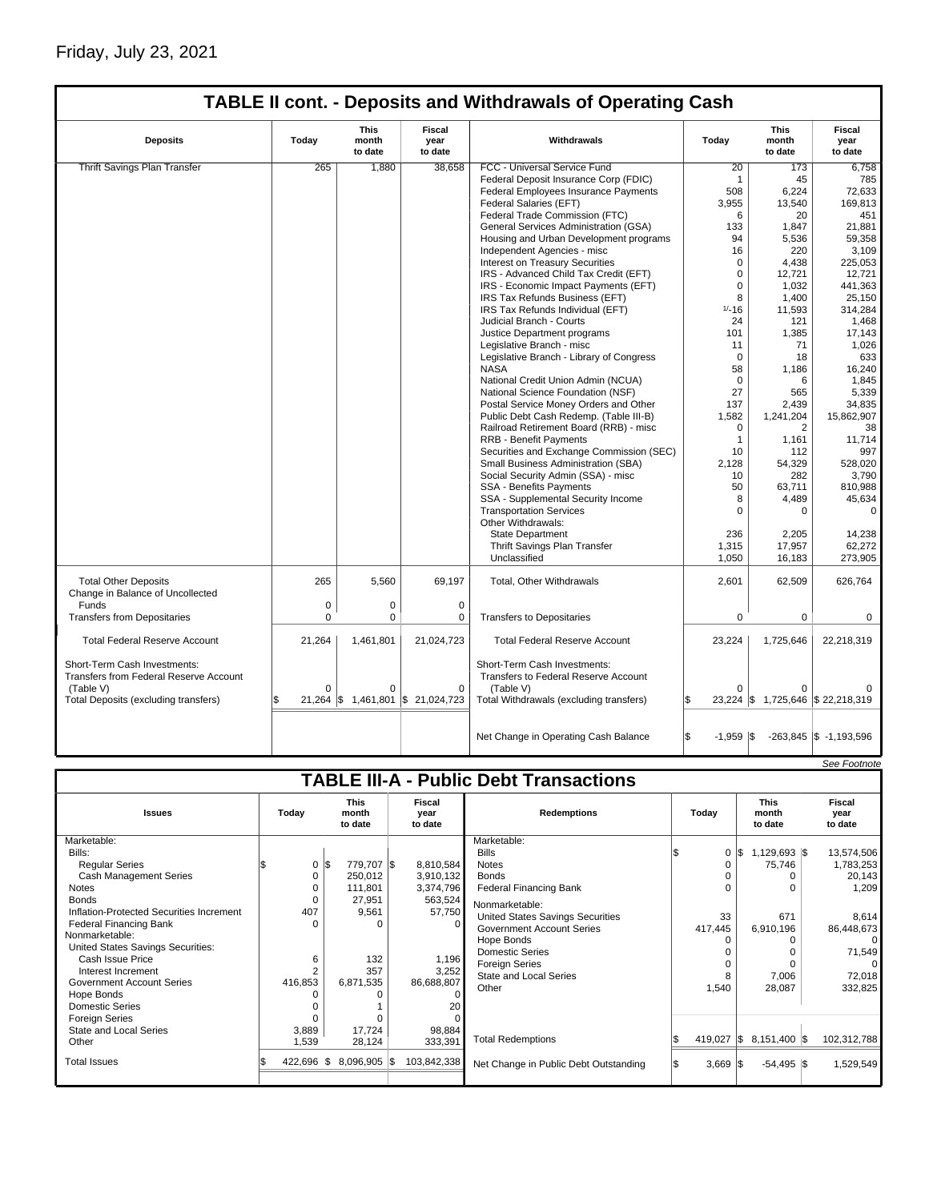| <b>TABLE II cont. - Deposits and Withdrawals of Operating Cash</b>                                                          |                                 |                                 |                                  |                                                                                                                              |                    |                                 |                                   |  |
|-----------------------------------------------------------------------------------------------------------------------------|---------------------------------|---------------------------------|----------------------------------|------------------------------------------------------------------------------------------------------------------------------|--------------------|---------------------------------|-----------------------------------|--|
| <b>Deposits</b>                                                                                                             | Today                           | <b>This</b><br>month<br>to date | <b>Fiscal</b><br>year<br>to date | Withdrawals                                                                                                                  | Today              | <b>This</b><br>month<br>to date | <b>Fiscal</b><br>year<br>to date  |  |
| <b>Thrift Savings Plan Transfer</b>                                                                                         | 265                             | 1,880                           | 38,658                           | FCC - Universal Service Fund                                                                                                 | 20                 | 173                             | 6,758                             |  |
|                                                                                                                             |                                 |                                 |                                  | Federal Deposit Insurance Corp (FDIC)                                                                                        | $\mathbf{1}$       | 45                              | 785                               |  |
|                                                                                                                             |                                 |                                 |                                  | Federal Employees Insurance Payments                                                                                         | 508                | 6,224                           | 72,633                            |  |
|                                                                                                                             |                                 |                                 |                                  | Federal Salaries (EFT)                                                                                                       | 3,955              | 13,540                          | 169.813                           |  |
|                                                                                                                             |                                 |                                 |                                  | Federal Trade Commission (FTC)                                                                                               | 6                  | 20                              | 451                               |  |
|                                                                                                                             |                                 |                                 |                                  | General Services Administration (GSA)                                                                                        | 133                | 1,847                           | 21,881                            |  |
|                                                                                                                             |                                 |                                 |                                  | Housing and Urban Development programs                                                                                       | 94                 | 5,536                           | 59,358                            |  |
|                                                                                                                             |                                 |                                 |                                  | Independent Agencies - misc                                                                                                  | 16                 | 220                             | 3,109                             |  |
|                                                                                                                             |                                 |                                 |                                  | <b>Interest on Treasury Securities</b>                                                                                       | $\Omega$           | 4.438                           | 225.053                           |  |
|                                                                                                                             |                                 |                                 |                                  | IRS - Advanced Child Tax Credit (EFT)                                                                                        | $\mathbf 0$        | 12,721                          | 12,721                            |  |
|                                                                                                                             |                                 |                                 |                                  | IRS - Economic Impact Payments (EFT)                                                                                         | $\mathbf 0$        | 1,032                           | 441,363                           |  |
|                                                                                                                             |                                 |                                 |                                  |                                                                                                                              | 8                  | 1,400                           | 25,150                            |  |
|                                                                                                                             |                                 |                                 |                                  | IRS Tax Refunds Business (EFT)<br>IRS Tax Refunds Individual (EFT)                                                           | $1/ - 16$          | 11,593                          | 314,284                           |  |
|                                                                                                                             |                                 |                                 |                                  | Judicial Branch - Courts                                                                                                     | 24                 | 121                             |                                   |  |
|                                                                                                                             |                                 |                                 |                                  |                                                                                                                              |                    |                                 | 1,468                             |  |
|                                                                                                                             |                                 |                                 |                                  | Justice Department programs                                                                                                  | 101<br>11          | 1,385<br>71                     | 17,143                            |  |
|                                                                                                                             |                                 |                                 |                                  | Legislative Branch - misc                                                                                                    |                    |                                 | 1,026                             |  |
|                                                                                                                             |                                 |                                 |                                  | Legislative Branch - Library of Congress                                                                                     | $\Omega$           | 18                              | 633                               |  |
|                                                                                                                             |                                 |                                 |                                  | <b>NASA</b>                                                                                                                  | 58                 | 1,186                           | 16,240                            |  |
|                                                                                                                             |                                 |                                 |                                  | National Credit Union Admin (NCUA)                                                                                           | $\Omega$           | 6                               | 1,845                             |  |
|                                                                                                                             |                                 |                                 |                                  | National Science Foundation (NSF)                                                                                            | 27                 | 565                             | 5,339                             |  |
|                                                                                                                             |                                 |                                 |                                  | Postal Service Money Orders and Other                                                                                        | 137                | 2,439                           | 34,835                            |  |
|                                                                                                                             |                                 |                                 |                                  | Public Debt Cash Redemp. (Table III-B)                                                                                       | 1,582              | 1,241,204                       | 15,862,907                        |  |
|                                                                                                                             |                                 |                                 |                                  | Railroad Retirement Board (RRB) - misc                                                                                       | $\Omega$           | 2                               | 38                                |  |
|                                                                                                                             |                                 |                                 |                                  | <b>RRB - Benefit Payments</b>                                                                                                | $\mathbf{1}$       | 1.161                           | 11.714                            |  |
|                                                                                                                             |                                 |                                 |                                  | Securities and Exchange Commission (SEC)                                                                                     | 10                 | 112                             | 997                               |  |
|                                                                                                                             |                                 |                                 |                                  | Small Business Administration (SBA)                                                                                          | 2,128              | 54,329                          | 528,020                           |  |
|                                                                                                                             |                                 |                                 |                                  | Social Security Admin (SSA) - misc                                                                                           | 10                 | 282                             | 3,790                             |  |
|                                                                                                                             |                                 |                                 |                                  | SSA - Benefits Payments                                                                                                      | 50                 | 63,711                          | 810,988                           |  |
|                                                                                                                             |                                 |                                 |                                  | SSA - Supplemental Security Income                                                                                           | 8                  | 4,489                           | 45,634                            |  |
|                                                                                                                             |                                 |                                 |                                  | <b>Transportation Services</b>                                                                                               | $\Omega$           | 0                               | $\mathbf 0$                       |  |
|                                                                                                                             |                                 |                                 |                                  | Other Withdrawals:                                                                                                           |                    |                                 |                                   |  |
|                                                                                                                             |                                 |                                 |                                  | <b>State Department</b>                                                                                                      | 236                | 2,205                           | 14,238                            |  |
|                                                                                                                             |                                 |                                 |                                  | Thrift Savings Plan Transfer                                                                                                 | 1,315              | 17,957                          | 62,272                            |  |
|                                                                                                                             |                                 |                                 |                                  | Unclassified                                                                                                                 | 1,050              | 16,183                          | 273,905                           |  |
| <b>Total Other Deposits</b><br>Change in Balance of Uncollected                                                             | 265                             | 5,560                           | 69,197                           | Total, Other Withdrawals                                                                                                     | 2,601              | 62,509                          | 626,764                           |  |
| Funds                                                                                                                       | $\mathbf 0$                     | 0                               | 0                                |                                                                                                                              |                    |                                 |                                   |  |
| <b>Transfers from Depositaries</b>                                                                                          | $\mathbf 0$                     | $\mathbf 0$                     | 0                                | <b>Transfers to Depositaries</b>                                                                                             | $\mathbf 0$        | $\mathbf 0$                     | 0                                 |  |
| <b>Total Federal Reserve Account</b>                                                                                        | 21,264                          | 1,461,801                       | 21,024,723                       | <b>Total Federal Reserve Account</b>                                                                                         | 23,224             | 1,725,646                       | 22,218,319                        |  |
| Short-Term Cash Investments:<br>Transfers from Federal Reserve Account<br>(Table V)<br>Total Deposits (excluding transfers) | $\Omega$<br>$21,264$ $\sqrt{5}$ | $\Omega$<br>1,461,801           | $\Omega$<br>\$21,024,723         | Short-Term Cash Investments:<br>Transfers to Federal Reserve Account<br>(Table V)<br>Total Withdrawals (excluding transfers) | $\Omega$<br>l\$    | 0                               | 23,224 \$ 1,725,646 \$ 22,218,319 |  |
|                                                                                                                             |                                 |                                 |                                  |                                                                                                                              |                    |                                 |                                   |  |
|                                                                                                                             |                                 |                                 |                                  | Net Change in Operating Cash Balance                                                                                         | 1\$<br>$-1,959$ \$ |                                 | $-263,845$ \$ $-1,193,596$        |  |

|                                               |         |          |                                 |                                  |             |                                         |  |                   | See Footnote                    |  |                           |
|-----------------------------------------------|---------|----------|---------------------------------|----------------------------------|-------------|-----------------------------------------|--|-------------------|---------------------------------|--|---------------------------|
| <b>TABLE III-A - Public Debt Transactions</b> |         |          |                                 |                                  |             |                                         |  |                   |                                 |  |                           |
| <b>Issues</b>                                 | Today   |          | <b>This</b><br>month<br>to date | <b>Fiscal</b><br>vear<br>to date |             | <b>Redemptions</b>                      |  | Todav             | <b>This</b><br>month<br>to date |  | Fiscal<br>vear<br>to date |
| Marketable:                                   |         |          |                                 |                                  |             | Marketable:                             |  |                   |                                 |  |                           |
| Bills:                                        |         |          |                                 |                                  |             | <b>Bills</b>                            |  | 0                 | $1,129,693$ \\$                 |  | 13,574,506                |
| <b>Regular Series</b>                         |         | 0        | 779,707 \$<br>\$                |                                  | 8,810,584   | <b>Notes</b>                            |  | $\Omega$          | 75,746                          |  | 1,783,253                 |
| <b>Cash Management Series</b>                 |         |          | 250,012                         |                                  | 3,910,132   | <b>Bonds</b>                            |  |                   |                                 |  | 20,143                    |
| <b>Notes</b>                                  |         |          | 111,801                         |                                  | 3,374,796   | <b>Federal Financing Bank</b>           |  | $\Omega$          |                                 |  | 1,209                     |
| <b>Bonds</b>                                  |         |          | 27,951                          |                                  | 563,524     | Nonmarketable:                          |  |                   |                                 |  |                           |
| Inflation-Protected Securities Increment      |         | 407      | 9,561                           |                                  | 57,750      | <b>United States Savings Securities</b> |  | 33                | 671                             |  | 8,614                     |
| <b>Federal Financing Bank</b>                 |         | $\Omega$ | ∩                               |                                  | $\Omega$    | <b>Government Account Series</b>        |  | 417,445           | 6,910,196                       |  | 86,448,673                |
| Nonmarketable:                                |         |          |                                 |                                  |             | Hope Bonds                              |  |                   |                                 |  |                           |
| United States Savings Securities:             |         |          |                                 |                                  |             | <b>Domestic Series</b>                  |  |                   |                                 |  | 71,549                    |
| Cash Issue Price                              |         | 6        | 132                             |                                  | 1,196       | <b>Foreign Series</b>                   |  | $\Omega$          |                                 |  |                           |
| Interest Increment                            |         |          | 357                             |                                  | 3,252       | <b>State and Local Series</b>           |  | 8                 | 7,006                           |  | 72,018                    |
| <b>Government Account Series</b>              | 416,853 |          | 6,871,535                       |                                  | 86,688,807  | Other                                   |  | 1,540             | 28,087                          |  | 332,825                   |
| Hope Bonds                                    |         |          |                                 |                                  | $\Omega$    |                                         |  |                   |                                 |  |                           |
| Domestic Series                               |         |          |                                 |                                  | 20          |                                         |  |                   |                                 |  |                           |
| <b>Foreign Series</b>                         |         |          |                                 |                                  |             |                                         |  |                   |                                 |  |                           |
| State and Local Series                        |         | 3,889    | 17,724                          |                                  | 98,884      | <b>Total Redemptions</b>                |  |                   |                                 |  |                           |
| Other                                         |         | 1,539    | 28,124                          |                                  | 333,391     |                                         |  | 419,027 $\vert \$ | 8,151,400 \$                    |  | 102,312,788               |
| <b>Total Issues</b>                           | 422,696 |          | $8,096,905$ \$<br>ß.            |                                  | 103,842,338 | Net Change in Public Debt Outstanding   |  | $3,669$ \$        | $-54,495$ \$                    |  | 1,529,549                 |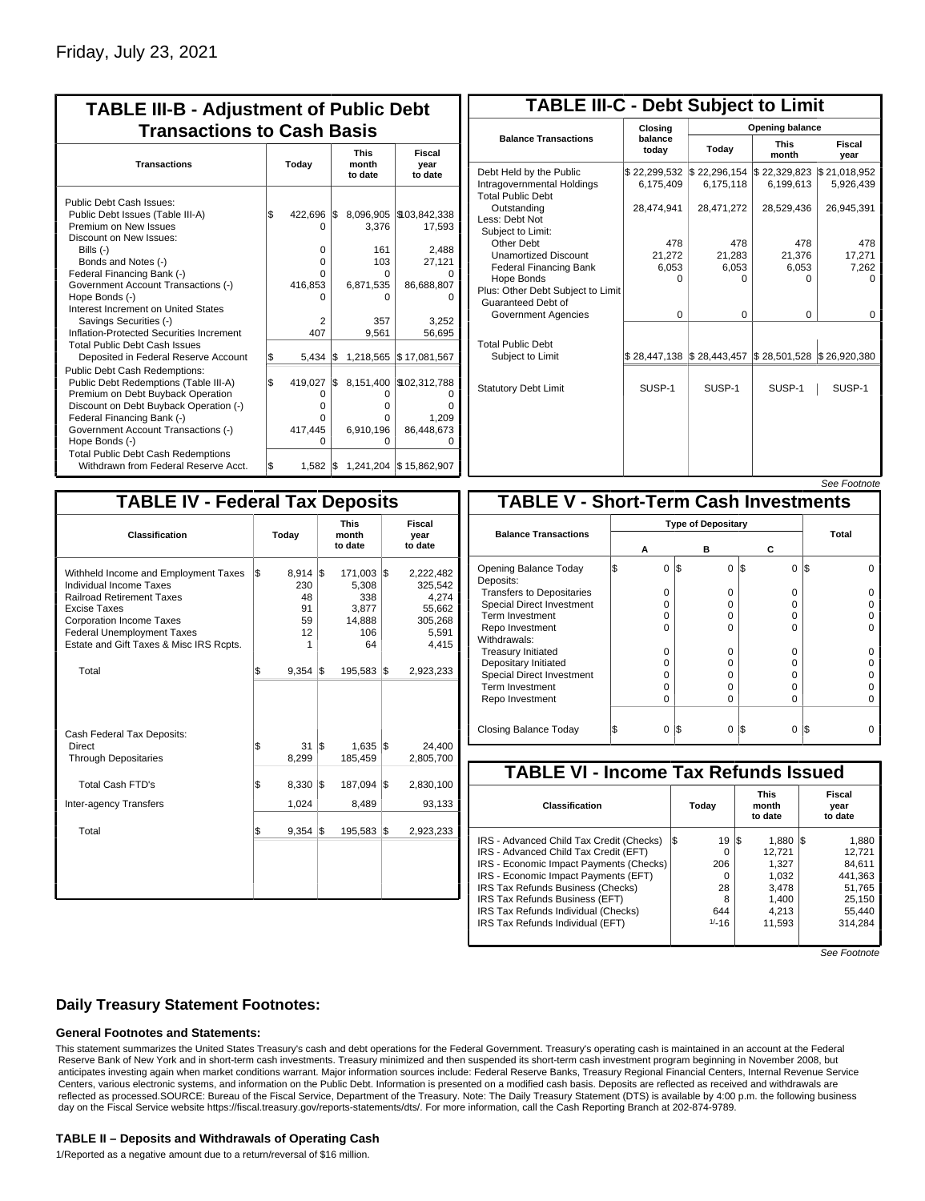| <b>TABLE III-B - Adjustment of Public Debt</b><br><b>Transactions to Cash Basis</b>                                                                                                                                                                                                                                                                                                                                                      |            |                                                                                |            |                                                                                      |                                                                                             |  |  |  |
|------------------------------------------------------------------------------------------------------------------------------------------------------------------------------------------------------------------------------------------------------------------------------------------------------------------------------------------------------------------------------------------------------------------------------------------|------------|--------------------------------------------------------------------------------|------------|--------------------------------------------------------------------------------------|---------------------------------------------------------------------------------------------|--|--|--|
| <b>Transactions</b>                                                                                                                                                                                                                                                                                                                                                                                                                      | Today      |                                                                                |            | <b>This</b><br>month<br>to date                                                      | Fiscal<br>year<br>to date                                                                   |  |  |  |
| Public Debt Cash Issues:<br>Public Debt Issues (Table III-A)<br>Premium on New Issues<br>Discount on New Issues:<br>Bills (-)<br>Bonds and Notes (-)<br>Federal Financing Bank (-)<br>Government Account Transactions (-)<br>Hope Bonds (-)<br>Interest Increment on United States<br>Savings Securities (-)<br>Inflation-Protected Securities Increment<br><b>Total Public Debt Cash Issues</b><br>Deposited in Federal Reserve Account | \$<br>S.   | 422,696<br>O<br>$\Omega$<br>$\Omega$<br>0<br>416,853<br>O<br>2<br>407<br>5.434 | l\$<br>l\$ | 8,096,905<br>3,376<br>161<br>103<br>O<br>6,871,535<br>o<br>357<br>9,561<br>1,218,565 | \$103,842,338<br>17,593<br>2,488<br>27,121<br>86,688,807<br>3,252<br>56,695<br>\$17,081,567 |  |  |  |
| Public Debt Cash Redemptions:<br>Public Debt Redemptions (Table III-A)<br>Premium on Debt Buyback Operation<br>Discount on Debt Buyback Operation (-)<br>Federal Financing Bank (-)<br>Government Account Transactions (-)<br>Hope Bonds (-)<br><b>Total Public Debt Cash Redemptions</b><br>Withdrawn from Federal Reserve Acct.                                                                                                        | l\$<br>l\$ | 419,027<br>0<br>$\Omega$<br>0<br>417,445<br>O<br>1,582                         | l\$<br>l\$ | 8,151,400<br>0<br>0<br>U<br>6,910,196<br>0                                           | \$102,312,788<br>ი<br>1.209<br>86,448,673<br>1,241,204 \$15,862,907                         |  |  |  |

| <b>TABLE III-C - Debt Subject to Limit</b>                                        |                           |                                                                            |                           |                           |  |  |  |  |  |
|-----------------------------------------------------------------------------------|---------------------------|----------------------------------------------------------------------------|---------------------------|---------------------------|--|--|--|--|--|
|                                                                                   | Closing                   | Opening balance                                                            |                           |                           |  |  |  |  |  |
| <b>Balance Transactions</b>                                                       | balance<br>today          | Today                                                                      | <b>This</b><br>month      | Fiscal<br>year            |  |  |  |  |  |
| Debt Held by the Public<br>Intragovernmental Holdings<br><b>Total Public Debt</b> | \$22,299,532<br>6.175.409 | \$22,296,154<br>6,175,118                                                  | \$22,329,823<br>6,199,613 | \$21,018,952<br>5,926,439 |  |  |  |  |  |
| Outstanding<br>Less: Debt Not<br>Subject to Limit:                                | 28.474.941                | 28,471,272                                                                 | 28,529,436                | 26,945,391                |  |  |  |  |  |
| Other Debt                                                                        | 478                       | 478                                                                        | 478                       | 478                       |  |  |  |  |  |
| <b>Unamortized Discount</b>                                                       | 21,272                    | 21,283                                                                     | 21.376                    | 17,271                    |  |  |  |  |  |
| <b>Federal Financing Bank</b>                                                     | 6,053                     | 6,053                                                                      | 6,053                     | 7,262                     |  |  |  |  |  |
| Hope Bonds<br>Plus: Other Debt Subject to Limit<br>Guaranteed Debt of             | $\Omega$                  | $\Omega$                                                                   | 0                         | $\Omega$                  |  |  |  |  |  |
| Government Agencies                                                               | $\Omega$                  | $\Omega$                                                                   | 0                         | 0                         |  |  |  |  |  |
| <b>Total Public Debt</b><br>Subject to Limit                                      |                           | $\frac{1}{2}$ 28,447,138 $\frac{1}{2}$ 28,443,457 $\frac{1}{2}$ 28,501,528 |                           | \$26,920,380              |  |  |  |  |  |
| <b>Statutory Debt Limit</b>                                                       | SUSP-1                    | SUSP-1                                                                     | SUSP-1                    | SUSP-1                    |  |  |  |  |  |
|                                                                                   |                           |                                                                            |                           |                           |  |  |  |  |  |

### See Footnote

| <b>TABLE IV - Federal Tax Deposits</b>                                                                                                                                                                                                        |     |                                                |     |                                                         |     |                                                                      |  |  |
|-----------------------------------------------------------------------------------------------------------------------------------------------------------------------------------------------------------------------------------------------|-----|------------------------------------------------|-----|---------------------------------------------------------|-----|----------------------------------------------------------------------|--|--|
| <b>Classification</b>                                                                                                                                                                                                                         |     | Today                                          |     | <b>This</b><br>month<br>to date                         |     | Fiscal<br>year<br>to date                                            |  |  |
| Withheld Income and Employment Taxes<br>Individual Income Taxes<br><b>Railroad Retirement Taxes</b><br><b>Excise Taxes</b><br><b>Corporation Income Taxes</b><br><b>Federal Unemployment Taxes</b><br>Estate and Gift Taxes & Misc IRS Rcpts. | l\$ | $8,914$ \$<br>230<br>48<br>91<br>59<br>12<br>1 |     | 171,003<br>5,308<br>338<br>3,877<br>14,888<br>106<br>64 | l\$ | 2,222,482<br>325,542<br>4,274<br>55,662<br>305,268<br>5,591<br>4,415 |  |  |
| Total                                                                                                                                                                                                                                         | l\$ | 9,354                                          | 1\$ | 195,583                                                 | 1\$ | 2,923,233                                                            |  |  |
| Cash Federal Tax Deposits:<br><b>Direct</b><br><b>Through Depositaries</b>                                                                                                                                                                    | \$  | 31<br>8,299                                    | l\$ | 1,635<br>185,459                                        | l\$ | 24,400<br>2,805,700                                                  |  |  |
| <b>Total Cash FTD's</b>                                                                                                                                                                                                                       | Ŝ.  | 8,330                                          | l\$ | 187,094                                                 | l\$ | 2,830,100                                                            |  |  |
| <b>Inter-agency Transfers</b><br>Total                                                                                                                                                                                                        | \$  | 1,024<br>9,354                                 | 1\$ | 8,489<br>195,583                                        | 1\$ | 93,133<br>2,923,233                                                  |  |  |
|                                                                                                                                                                                                                                               |     |                                                |     |                                                         |     |                                                                      |  |  |
|                                                                                                                                                                                                                                               |     |                                                |     |                                                         |     |                                                                      |  |  |

| <b>TABLE V - Short-Term Cash Investments</b> |  |                           |     |   |                 |       |  |  |
|----------------------------------------------|--|---------------------------|-----|---|-----------------|-------|--|--|
|                                              |  | <b>Type of Depositary</b> |     |   |                 |       |  |  |
| <b>Balance Transactions</b>                  |  | А                         |     | в | С               | Total |  |  |
| Opening Balance Today<br>Deposits:           |  | $\Omega$                  | I\$ | 0 | I\$<br>$\Omega$ | I\$   |  |  |
| <b>Transfers to Depositaries</b>             |  | O                         |     | O | 0               |       |  |  |
| <b>Special Direct Investment</b>             |  | Ω                         |     | Ω | 0               |       |  |  |
| Term Investment                              |  | $\Omega$                  |     | Ω | 0               |       |  |  |
| Repo Investment                              |  | n                         |     | n | U               |       |  |  |
| Withdrawals:                                 |  |                           |     |   |                 |       |  |  |
| <b>Treasury Initiated</b>                    |  | O                         |     | n | 0               |       |  |  |
| Depositary Initiated                         |  | Ω                         |     | Ω | 0               |       |  |  |
| <b>Special Direct Investment</b>             |  | Ω                         |     |   | 0               |       |  |  |
| <b>Term Investment</b>                       |  | Ω                         |     | Ω | 0               |       |  |  |
| Repo Investment                              |  | 0                         |     | 0 | 0               |       |  |  |
|                                              |  |                           |     |   |                 |       |  |  |
| Closing Balance Today                        |  | 0                         | I\$ | 0 | S<br>0          | l\$   |  |  |

| <b>TABLE VI - Income Tax Refunds Issued</b> |           |                                 |                           |  |  |  |  |  |  |
|---------------------------------------------|-----------|---------------------------------|---------------------------|--|--|--|--|--|--|
| <b>Classification</b>                       | Today     | <b>This</b><br>month<br>to date | Fiscal<br>year<br>to date |  |  |  |  |  |  |
| IRS - Advanced Child Tax Credit (Checks)    | 19<br>I\$ | 1,880<br>1\$                    | 1,880<br>I\$              |  |  |  |  |  |  |
| IRS - Advanced Child Tax Credit (EFT)       | 0         | 12.721                          | 12.721                    |  |  |  |  |  |  |
| IRS - Economic Impact Payments (Checks)     | 206       | 1.327                           | 84.611                    |  |  |  |  |  |  |
| IRS - Economic Impact Payments (EFT)        | $\Omega$  | 1,032                           | 441.363                   |  |  |  |  |  |  |
| IRS Tax Refunds Business (Checks)           | 28        | 3.478                           | 51.765                    |  |  |  |  |  |  |
| IRS Tax Refunds Business (EFT)              | 8         | 1.400                           | 25.150                    |  |  |  |  |  |  |
| IRS Tax Refunds Individual (Checks)         | 644       | 4,213                           | 55,440                    |  |  |  |  |  |  |
| IRS Tax Refunds Individual (EFT)            | $1/-16$   | 11.593                          | 314.284                   |  |  |  |  |  |  |

See Footnote

# **Daily Treasury Statement Footnotes:**

### **General Footnotes and Statements:**

This statement summarizes the United States Treasury's cash and debt operations for the Federal Government. Treasury's operating cash is maintained in an account at the Federal Reserve Bank of New York and in short-term cash investments. Treasury minimized and then suspended its short-term cash investment program beginning in November 2008, but anticipates investing again when market conditions warrant. Major information sources include: Federal Reserve Banks, Treasury Regional Financial Centers, Internal Revenue Service Centers, various electronic systems, and information on the Public Debt. Information is presented on a modified cash basis. Deposits are reflected as received and withdrawals are reflected as processed.SOURCE: Bureau of the Fiscal Service, Department of the Treasury. Note: The Daily Treasury Statement (DTS) is available by 4:00 p.m. the following business day on the Fiscal Service website https://fiscal.treasury.gov/reports-statements/dts/. For more information, call the Cash Reporting Branch at 202-874-9789.

#### **TABLE II – Deposits and Withdrawals of Operating Cash**

1/Reported as a negative amount due to a return/reversal of \$16 million.